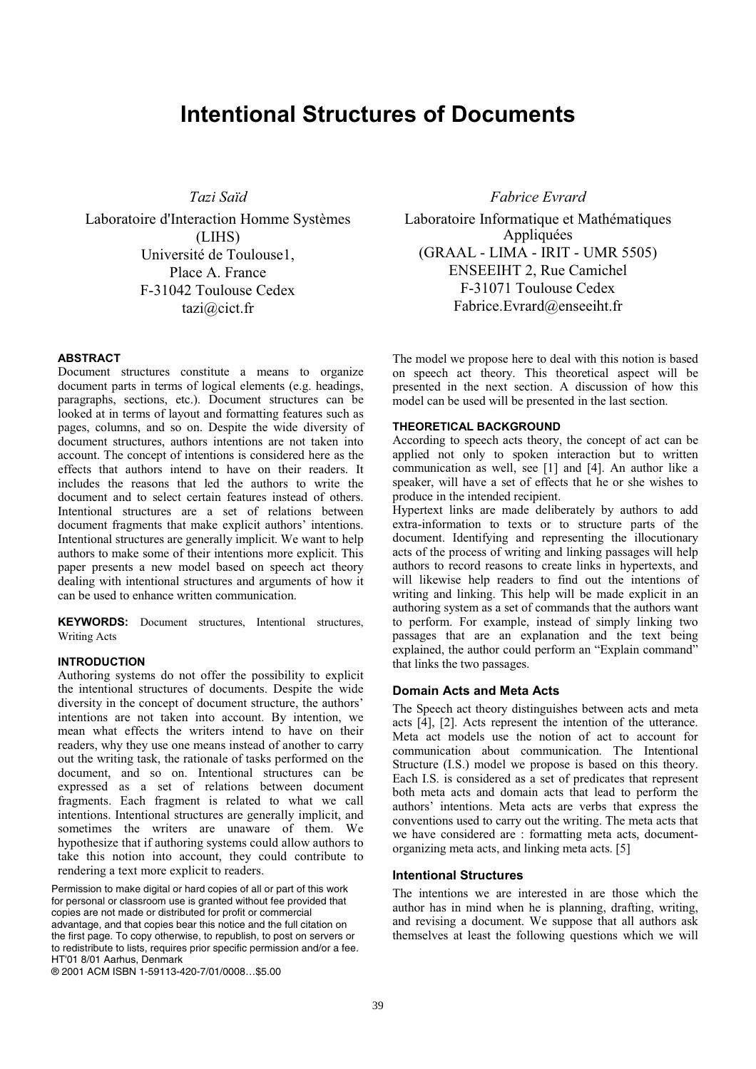# **Intentional Structures of Documents**

*Tazi Saïd*

Laboratoire d'Interaction Homme Systèmes (LIHS) Université de Toulouse1, Place A. France F-31042 Toulouse Cedex tazi@cict.fr

# **ABSTRACT**

Document structures constitute a means to organize document parts in terms of logical elements (e.g. headings, paragraphs, sections, etc.). Document structures can be looked at in terms of layout and formatting features such as pages, columns, and so on. Despite the wide diversity of document structures, authors intentions are not taken into account. The concept of intentions is considered here as the effects that authors intend to have on their readers. It includes the reasons that led the authors to write the document and to select certain features instead of others. Intentional structures are a set of relations between document fragments that make explicit authors' intentions. Intentional structures are generally implicit. We want to help authors to make some of their intentions more explicit. This paper presents a new model based on speech act theory dealing with intentional structures and arguments of how it can be used to enhance written communication.

**KEYWORDS:** Document structures, Intentional structures, Writing Acts

## **INTRODUCTION**

Authoring systems do not offer the possibility to explicit the intentional structures of documents. Despite the wide diversity in the concept of document structure, the authors' intentions are not taken into account. By intention, we mean what effects the writers intend to have on their readers, why they use one means instead of another to carry out the writing task, the rationale of tasks performed on the document, and so on. Intentional structures can be expressed as a set of relations between document fragments. Each fragment is related to what we call intentions. Intentional structures are generally implicit, and sometimes the writers are unaware of them. We hypothesize that if authoring systems could allow authors to take this notion into account, they could contribute to rendering a text more explicit to readers.

Permission to make digital or hard copies of all or part of this work for personal or classroom use is granted without fee provided that copies are not made or distributed for profit or commercial advantage, and that copies bear this notice and the full citation on the first page. To copy otherwise, to republish, to post on servers or to redistribute to lists, requires prior specific permission and/or a fee. HT'01 8/01 Aarhus, Denmark ® 2001 ACM ISBN 1-59113-420-7/01/0008…\$5.00

*Fabrice Evrard*

Laboratoire Informatique et Mathématiques Appliquées (GRAAL - LIMA - IRIT - UMR 5505) ENSEEIHT 2, Rue Camichel F-31071 Toulouse Cedex Fabrice.Evrard@enseeiht.fr

The model we propose here to deal with this notion is based on speech act theory. This theoretical aspect will be presented in the next section. A discussion of how this model can be used will be presented in the last section.

## **THEORETICAL BACKGROUND**

According to speech acts theory, the concept of act can be applied not only to spoken interaction but to written communication as well, see [1] and [4]. An author like a speaker, will have a set of effects that he or she wishes to produce in the intended recipient.

Hypertext links are made deliberately by authors to add extra-information to texts or to structure parts of the document. Identifying and representing the illocutionary acts of the process of writing and linking passages will help authors to record reasons to create links in hypertexts, and will likewise help readers to find out the intentions of writing and linking. This help will be made explicit in an authoring system as a set of commands that the authors want to perform. For example, instead of simply linking two passages that are an explanation and the text being explained, the author could perform an "Explain command" that links the two passages.

# **Domain Acts and Meta Acts**

The Speech act theory distinguishes between acts and meta acts [4], [2]. Acts represent the intention of the utterance. Meta act models use the notion of act to account for communication about communication. The Intentional Structure (I.S.) model we propose is based on this theory. Each I.S. is considered as a set of predicates that represent both meta acts and domain acts that lead to perform the authors' intentions. Meta acts are verbs that express the conventions used to carry out the writing. The meta acts that we have considered are : formatting meta acts, documentorganizing meta acts, and linking meta acts. [5]

#### **Intentional Structures**

The intentions we are interested in are those which the author has in mind when he is planning, drafting, writing, and revising a document. We suppose that all authors ask themselves at least the following questions which we will